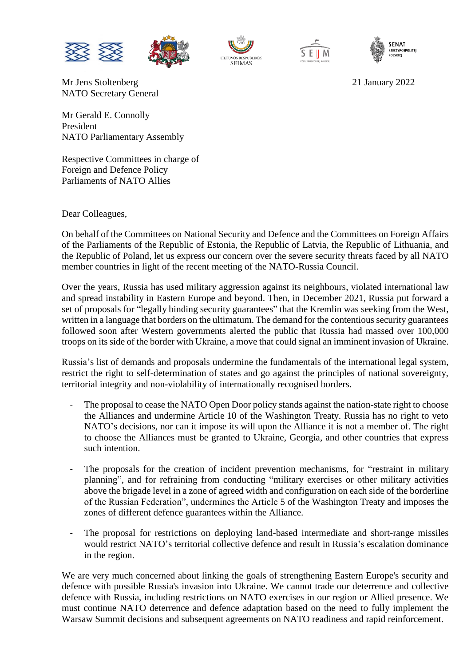

Mr Jens Stoltenberg 21 January 2022 NATO Secretary General







Mr Gerald E. Connolly President NATO Parliamentary Assembly

Respective Committees in charge of Foreign and Defence Policy Parliaments of NATO Allies

Dear Colleagues,

On behalf of the Committees on National Security and Defence and the Committees on Foreign Affairs of the Parliaments of the Republic of Estonia, the Republic of Latvia, the Republic of Lithuania, and the Republic of Poland, let us express our concern over the severe security threats faced by all NATO member countries in light of the recent meeting of the NATO-Russia Council.

Over the years, Russia has used military aggression against its neighbours, violated international law and spread instability in Eastern Europe and beyond. Then, in December 2021, Russia put forward a set of proposals for "legally binding security guarantees" that the Kremlin was seeking from the West, written in a language that borders on the ultimatum. The demand for the contentious security guarantees followed soon after Western governments alerted the public that Russia had massed over 100,000 troops on its side of the border with Ukraine, a move that could signal an imminent invasion of Ukraine.

Russia's list of demands and proposals undermine the fundamentals of the international legal system, restrict the right to self-determination of states and go against the principles of national sovereignty, territorial integrity and non-violability of internationally recognised borders.

- The proposal to cease the NATO Open Door policy stands against the nation-state right to choose the Alliances and undermine Article 10 of the Washington Treaty. Russia has no right to veto NATO's decisions, nor can it impose its will upon the Alliance it is not a member of. The right to choose the Alliances must be granted to Ukraine, Georgia, and other countries that express such intention.
- The proposals for the creation of incident prevention mechanisms, for "restraint in military planning", and for refraining from conducting "military exercises or other military activities above the brigade level in a zone of agreed width and configuration on each side of the borderline of the Russian Federation", undermines the Article 5 of the Washington Treaty and imposes the zones of different defence guarantees within the Alliance.
- The proposal for restrictions on deploying land-based intermediate and short-range missiles would restrict NATO's territorial collective defence and result in Russia's escalation dominance in the region.

We are very much concerned about linking the goals of strengthening Eastern Europe's security and defence with possible Russia's invasion into Ukraine. We cannot trade our deterrence and collective defence with Russia, including restrictions on NATO exercises in our region or Allied presence. We must continue NATO deterrence and defence adaptation based on the need to fully implement the Warsaw Summit decisions and subsequent agreements on NATO readiness and rapid reinforcement.